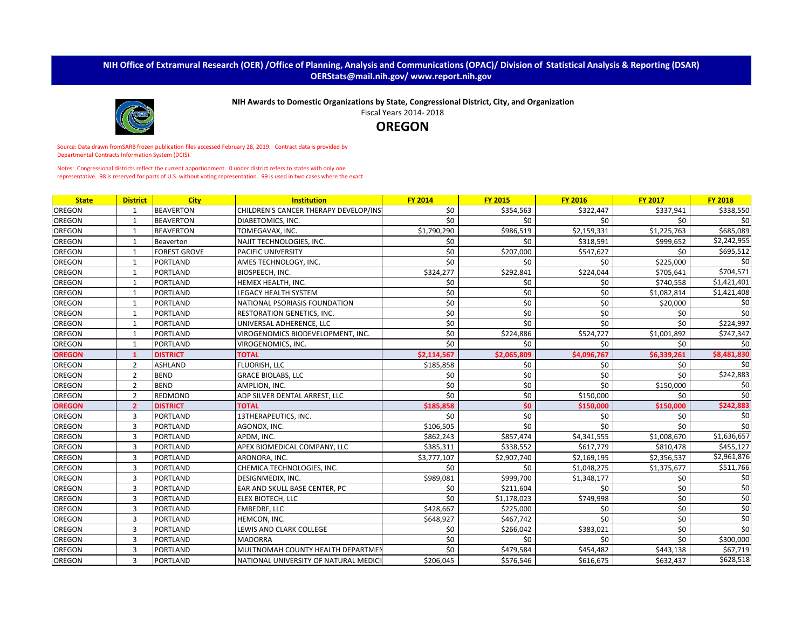## **NIH Office of Extramural Research (OER) /Office of Planning, Analysis and Communications (OPAC)/ Division of Statistical Analysis & Reporting (DSAR) OERStats@mail.nih.gov/ www.report.nih.gov**



**NIH Awards to Domestic Organizations by State, Congressional District, City, and Organization**

Fiscal Years 2014- 2018

**OREGON**

Source: Data drawn fromSARB frozen publication files accessed February 28, 2019. Contract data is provided by Departmental Contracts Information System (DCIS).

Notes: Congressional districts reflect the current apportionment. 0 under district refers to states with only one representative. 98 is reserved for parts of U.S. without voting representation. 99 is used in two cases where the exact

| <b>State</b>  | <b>District</b> | <b>City</b>         | <b>Institution</b>                    | <b>FY 2014</b> | <b>FY 2015</b> | <b>FY 2016</b> | <b>FY 2017</b> | <b>FY 2018</b>  |
|---------------|-----------------|---------------------|---------------------------------------|----------------|----------------|----------------|----------------|-----------------|
| <b>OREGON</b> |                 | <b>BEAVERTON</b>    | CHILDREN'S CANCER THERAPY DEVELOP/INS | \$0            | \$354,563      | \$322,447      | \$337,941      | \$338,550       |
| <b>OREGON</b> | 1               | <b>BEAVERTON</b>    | DIABETOMICS, INC.                     | \$0            | \$0            | \$0            | \$0            | 50 <sup>1</sup> |
| <b>OREGON</b> | 1               | <b>BEAVERTON</b>    | TOMEGAVAX, INC.                       | \$1,790,290    | \$986,519      | \$2,159,331    | \$1,225,763    | \$685,089       |
| <b>OREGON</b> | 1               | Beaverton           | NAJIT TECHNOLOGIES, INC.              | \$0            | \$0            | \$318,591      | \$999,652      | \$2,242,955     |
| <b>OREGON</b> | $\mathbf{1}$    | <b>FOREST GROVE</b> | PACIFIC UNIVERSITY                    | \$0            | \$207,000      | \$547,627      | \$0            | \$695,512       |
| <b>OREGON</b> |                 | <b>PORTLAND</b>     | AMES TECHNOLOGY, INC.                 | \$0            | \$0            | \$0            | \$225,000      | \$0             |
| <b>OREGON</b> | 1               | <b>PORTLAND</b>     | BIOSPEECH, INC.                       | \$324,277      | \$292,841      | \$224,044      | \$705,641      | \$704,571       |
| <b>OREGON</b> | 1               | <b>PORTLAND</b>     | HEMEX HEALTH, INC.                    | \$0            | \$0            | \$0            | \$740,558      | \$1,421,401     |
| <b>OREGON</b> | 1               | <b>PORTLAND</b>     | <b>LEGACY HEALTH SYSTEM</b>           | \$0            | \$0            | \$0            | \$1,082,814    | \$1,421,408     |
| <b>OREGON</b> | 1               | <b>PORTLAND</b>     | NATIONAL PSORIASIS FOUNDATION         | \$0            | \$0            | \$0            | \$20,000       | \$0             |
| <b>OREGON</b> | 1               | <b>PORTLAND</b>     | RESTORATION GENETICS, INC.            | \$0            | \$0            | \$0            | \$0            | \$0             |
| <b>OREGON</b> | $\mathbf{1}$    | <b>PORTLAND</b>     | UNIVERSAL ADHERENCE, LLC              | \$0            | \$0            | \$0\$          | \$0            | \$224,997       |
| <b>OREGON</b> |                 | <b>PORTLAND</b>     | VIROGENOMICS BIODEVELOPMENT, INC.     | \$0            | \$224,886      | \$524,727      | \$1,001,892    | \$747,347       |
| <b>OREGON</b> | 1               | <b>PORTLAND</b>     | VIROGENOMICS, INC.                    | \$0            | \$0            | \$0\$          | \$0            | \$0             |
| <b>OREGON</b> |                 | <b>DISTRICT</b>     | <b>TOTAL</b>                          | \$2,114,567    | \$2,065,809    | \$4,096,767    | \$6,339,261    | \$8,481,830     |
| <b>OREGON</b> | 2               | <b>ASHLAND</b>      | FLUORISH, LLC                         | \$185,858      | \$0            | \$0            | \$0            | \$0             |
| <b>OREGON</b> | 2               | <b>BEND</b>         | <b>GRACE BIOLABS, LLC</b>             | \$0            | \$0            | \$0            | \$0            | \$242,883       |
| <b>OREGON</b> | 2               | <b>BEND</b>         | AMPLION, INC.                         | \$0            | \$0            | \$0            | \$150,000      | \$0             |
| <b>OREGON</b> | 2               | <b>REDMOND</b>      | ADP SILVER DENTAL ARREST, LLC         | \$0            | \$0            | \$150,000      | \$0            | \$0             |
| <b>OREGON</b> | $\overline{2}$  | <b>DISTRICT</b>     | <b>TOTAL</b>                          | \$185,858      | \$0            | \$150,000      | \$150,000      | \$242,883       |
| <b>OREGON</b> | 3               | <b>PORTLAND</b>     | 13THERAPEUTICS, INC.                  | \$0            | \$0            | \$0            | \$0            | \$0             |
| <b>OREGON</b> | 3               | <b>PORTLAND</b>     | AGONOX, INC.                          | \$106,505      | \$0            | \$0\$          | \$0            | \$0             |
| <b>OREGON</b> | 3               | <b>PORTLAND</b>     | APDM. INC.                            | \$862,243      | \$857,474      | \$4,341,555    | \$1,008,670    | \$1,636,657     |
| <b>OREGON</b> | 3               | <b>PORTLAND</b>     | APEX BIOMEDICAL COMPANY, LLC          | \$385,311      | \$338,552      | \$617,779      | \$810,478      | \$455,127       |
| <b>OREGON</b> | 3               | <b>PORTLAND</b>     | ARONORA, INC.                         | \$3,777,107    | \$2,907,740    | \$2,169,195    | \$2,356,537    | \$2,961,876     |
| <b>OREGON</b> | 3               | <b>PORTLAND</b>     | CHEMICA TECHNOLOGIES, INC.            | \$0            | \$0            | \$1,048,275    | \$1,375,677    | \$511,766       |
| <b>OREGON</b> | 3               | <b>PORTLAND</b>     | DESIGNMEDIX, INC.                     | \$989,081      | \$999,700      | \$1,348,177    | \$0            | \$0             |
| <b>OREGON</b> | 3               | <b>PORTLAND</b>     | EAR AND SKULL BASE CENTER, PC         | \$0            | \$211,604      | \$0            | \$0            | \$0             |
| <b>OREGON</b> | 3               | <b>PORTLAND</b>     | ELEX BIOTECH, LLC                     | \$0            | \$1,178,023    | \$749,998      | \$0            | \$0             |
| <b>OREGON</b> | 3               | PORTLAND            | <b>EMBEDRF, LLC</b>                   | \$428,667      | \$225,000      | \$0            | \$0            | \$0             |
| <b>OREGON</b> | 3               | <b>PORTLAND</b>     | HEMCON, INC.                          | \$648,927      | \$467,742      | \$0            | \$0            | \$0             |
| <b>OREGON</b> | 3               | <b>PORTLAND</b>     | LEWIS AND CLARK COLLEGE               | \$0            | \$266,042      | \$383,021      | \$0            | $\overline{50}$ |
| <b>OREGON</b> | 3               | <b>PORTLAND</b>     | <b>MADORRA</b>                        | \$0            | \$0            | \$0\$          | \$0            | \$300,000       |
| <b>OREGON</b> | 3               | <b>PORTLAND</b>     | MULTNOMAH COUNTY HEALTH DEPARTMEI     | \$0            | \$479,584      | \$454,482      | \$443,138      | \$67,719        |
| <b>OREGON</b> | 3               | <b>PORTLAND</b>     | NATIONAL UNIVERSITY OF NATURAL MEDICI | \$206,045      | \$576,546      | \$616,675      | \$632,437      | \$628,518       |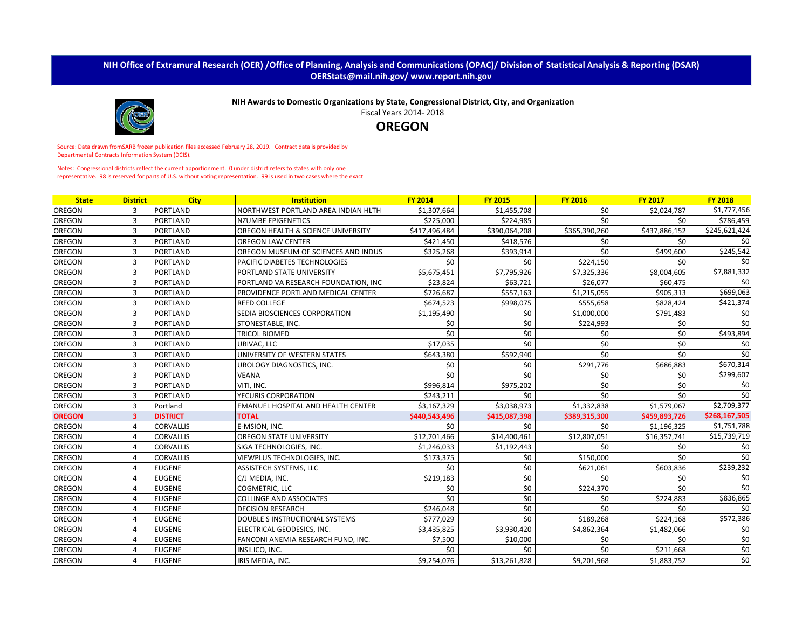## **NIH Office of Extramural Research (OER) /Office of Planning, Analysis and Communications (OPAC)/ Division of Statistical Analysis & Reporting (DSAR) OERStats@mail.nih.gov/ www.report.nih.gov**



**NIH Awards to Domestic Organizations by State, Congressional District, City, and Organization**

Fiscal Years 2014- 2018

**OREGON**

Source: Data drawn fromSARB frozen publication files accessed February 28, 2019. Contract data is provided by Departmental Contracts Information System (DCIS).

Notes: Congressional districts reflect the current apportionment. 0 under district refers to states with only one representative. 98 is reserved for parts of U.S. without voting representation. 99 is used in two cases where the exact

| <b>State</b>  | <b>District</b>         | <b>City</b>      | <b>Institution</b>                        | <b>FY 2014</b> | <b>FY 2015</b> | <b>FY 2016</b> | <b>FY 2017</b> | <b>FY 2018</b>   |
|---------------|-------------------------|------------------|-------------------------------------------|----------------|----------------|----------------|----------------|------------------|
| OREGON        | 3                       | <b>PORTLAND</b>  | NORTHWEST PORTLAND AREA INDIAN HLTH       | \$1,307,664    | \$1,455,708    | \$0            | \$2,024,787    | \$1,777,456      |
| <b>OREGON</b> | 3                       | <b>PORTLAND</b>  | <b>NZUMBE EPIGENETICS</b>                 | \$225,000      | \$224,985      | \$0            | \$0            | \$786,459        |
| <b>OREGON</b> | 3                       | PORTLAND         | OREGON HEALTH & SCIENCE UNIVERSITY        | \$417,496,484  | \$390,064,208  | \$365,390,260  | \$437,886,152  | \$245,621,424    |
| <b>OREGON</b> | 3                       | <b>PORTLAND</b>  | <b>OREGON LAW CENTER</b>                  | \$421,450      | \$418,576      | \$0            | \$0            | \$0              |
| <b>OREGON</b> | 3                       | <b>PORTLAND</b>  | OREGON MUSEUM OF SCIENCES AND INDUS       | \$325,268      | \$393,914      | \$0            | \$499,600      | \$245,542        |
| <b>OREGON</b> | 3                       | <b>PORTLAND</b>  | PACIFIC DIABETES TECHNOLOGIES             | \$0            | \$0            | \$224,150      | \$0            | \$0              |
| <b>OREGON</b> | 3                       | <b>PORTLAND</b>  | PORTLAND STATE UNIVERSITY                 | \$5,675,451    | \$7,795,926    | \$7,325,336    | \$8,004,605    | \$7,881,332      |
| <b>OREGON</b> | 3                       | <b>PORTLAND</b>  | PORTLAND VA RESEARCH FOUNDATION, INC      | \$23,824       | \$63,721       | \$26,077       | \$60,475       | \$0              |
| <b>OREGON</b> | 3                       | <b>PORTLAND</b>  | PROVIDENCE PORTLAND MEDICAL CENTER        | \$726,687      | \$557,163      | \$1,215,055    | \$905,313      | \$699,063        |
| <b>OREGON</b> | 3                       | <b>PORTLAND</b>  | <b>REED COLLEGE</b>                       | \$674,523      | \$998,075      | \$555,658      | \$828,424      | \$421,374        |
| <b>OREGON</b> | $\overline{3}$          | <b>PORTLAND</b>  | SEDIA BIOSCIENCES CORPORATION             | \$1,195,490    | \$0            | \$1,000,000    | \$791,483      | \$0              |
| OREGON        | $\overline{3}$          | <b>PORTLAND</b>  | STONESTABLE, INC.                         | \$0            | \$0            | \$224,993      | \$0            | \$0              |
| <b>OREGON</b> | 3                       | <b>PORTLAND</b>  | <b>TRICOL BIOMED</b>                      | \$0            | \$0            | \$0            | \$0            | \$493,894        |
| <b>OREGON</b> | 3                       | <b>PORTLAND</b>  | UBIVAC, LLC                               | \$17,035       | \$0            | \$0            | \$0            | \$0              |
| <b>OREGON</b> | $\overline{3}$          | <b>PORTLAND</b>  | UNIVERSITY OF WESTERN STATES              | \$643,380      | \$592,940      | \$0            | \$0            | \$0              |
| <b>OREGON</b> | 3                       | <b>PORTLAND</b>  | UROLOGY DIAGNOSTICS, INC.                 | \$0            | \$0            | \$291,776      | \$686,883      | \$670,314        |
| <b>OREGON</b> | 3                       | <b>PORTLAND</b>  | <b>VEANA</b>                              | \$0            | \$0            | \$0            | \$0            | \$299,607        |
| <b>OREGON</b> | 3                       | <b>PORTLAND</b>  | VITI. INC.                                | \$996,814      | \$975,202      | \$0            | \$0            | \$0              |
| <b>OREGON</b> | 3                       | <b>PORTLAND</b>  | YECURIS CORPORATION                       | \$243,211      | \$0            | \$0            | \$0            | \$0              |
| <b>OREGON</b> | 3                       | Portland         | <b>EMANUEL HOSPITAL AND HEALTH CENTER</b> | \$3,167,329    | \$3,038,973    | \$1,332,838    | \$1,579,067    | \$2,709,377      |
| <b>OREGON</b> | $\overline{\mathbf{3}}$ | <b>DISTRICT</b>  | <b>TOTAL</b>                              | \$440,543,496  | \$415,087,398  | \$389,315,300  | \$459,893,726  | \$268,167,505    |
| <b>OREGON</b> | 4                       | <b>CORVALLIS</b> | E-MSION. INC.                             | \$0            | \$0            | \$0            | \$1,196,325    | \$1,751,788      |
| <b>OREGON</b> | 4                       | <b>CORVALLIS</b> | OREGON STATE UNIVERSITY                   | \$12,701,466   | \$14,400,461   | \$12,807,051   | \$16,357,741   | \$15,739,719     |
| <b>OREGON</b> | 4                       | <b>CORVALLIS</b> | SIGA TECHNOLOGIES, INC.                   | \$1,246,033    | \$1,192,443    | \$0            | \$0            | \$0              |
| OREGON        | 4                       | <b>CORVALLIS</b> | VIEWPLUS TECHNOLOGIES, INC.               | \$173,375      | \$0            | \$150,000      | \$0            | \$0              |
| OREGON        | 4                       | <b>EUGENE</b>    | <b>ASSISTECH SYSTEMS, LLC</b>             | \$0            | \$0            | \$621,061      | \$603,836      | \$239,232        |
| OREGON        | 4                       | <b>EUGENE</b>    | C/J MEDIA, INC.                           | \$219,183      | \$0            | \$0            | \$0            | \$0              |
| <b>OREGON</b> | 4                       | <b>EUGENE</b>    | COGMETRIC, LLC                            | \$0            | \$0            | \$224,370      | \$0            | \$0              |
| <b>OREGON</b> | 4                       | <b>EUGENE</b>    | <b>COLLINGE AND ASSOCIATES</b>            | \$0            | \$0            | \$0            | \$224,883      | \$836,865        |
| OREGON        | 4                       | <b>EUGENE</b>    | <b>DECISION RESEARCH</b>                  | \$246,048      | \$0            | \$0            | \$0            | \$0              |
| <b>OREGON</b> | 4                       | <b>EUGENE</b>    | DOUBLE S INSTRUCTIONAL SYSTEMS            | \$777,029      | \$0            | \$189,268      | \$224,168      | \$572,386        |
| <b>OREGON</b> | 4                       | <b>EUGENE</b>    | ELECTRICAL GEODESICS, INC.                | \$3,435,825    | \$3,930,420    | \$4,862,364    | \$1,482,066    | \$0              |
| <b>OREGON</b> | 4                       | <b>EUGENE</b>    | FANCONI ANEMIA RESEARCH FUND, INC.        | \$7,500        | \$10,000       | \$0            | \$0            | \$0              |
| OREGON        | 4                       | <b>EUGENE</b>    | INSILICO, INC.                            | \$0            | \$0            | \$0            | \$211,668      | $\overline{\xi}$ |
| <b>OREGON</b> | 4                       | <b>EUGENE</b>    | IRIS MEDIA, INC.                          | \$9,254,076    | \$13,261,828   | \$9,201,968    | \$1,883,752    | \$0              |